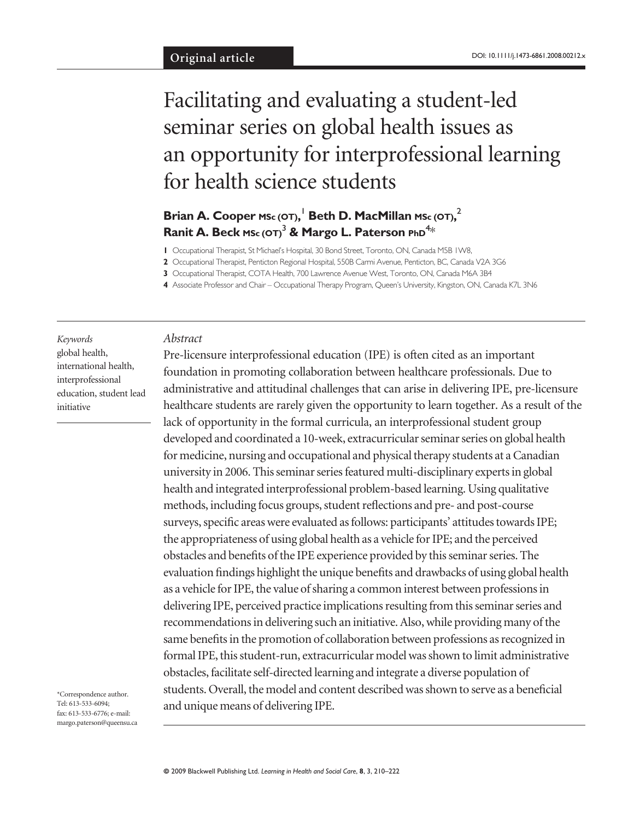# Facilitating and evaluating a student-led seminar series on global health issues as an opportunity for interprofessional learning for health science students

## Brian A. Cooper <code>Msc</code> (OT),  $^{\text{!}}$  Beth D. MacMillan <code>Msc</code> (OT),  $^{\text{?}}$ Ranit A. Beck <code>Msc</code> (OT)<sup>3</sup> & Margo L. Paterson <code>PhD $^{4+}$ </code>

1 Occupational Therapist, St Michael's Hospital, 30 Bond Street, Toronto, ON, Canada M5B 1W8,

- 2 Occupational Therapist, Penticton Regional Hospital, 550B Carmi Avenue, Penticton, BC, Canada V2A 3G6
- 3 Occupational Therapist, COTA Health, 700 Lawrence Avenue West, Toronto, ON, Canada M6A 3B4
- 4 Associate Professor and Chair Occupational Therapy Program, Queen's University, Kingston, ON, Canada K7L 3N6

## Abstract

Keywords global health, international health, interprofessional education, student lead initiative

Pre-licensure interprofessional education (IPE) is often cited as an important foundation in promoting collaboration between healthcare professionals. Due to administrative and attitudinal challenges that can arise in delivering IPE, pre-licensure healthcare students are rarely given the opportunity to learn together. As a result of the lack of opportunity in the formal curricula, an interprofessional student group developed and coordinated a 10-week, extracurricular seminar series on global health for medicine, nursing and occupational and physical therapy students at a Canadian university in 2006. This seminar seriesfeatured multi-disciplinary experts in global health and integrated interprofessional problem-based learning. Using qualitative methods, including focus groups, student reflections and pre- and post-course surveys, specific areas were evaluated as follows: participants' attitudes towards IPE; the appropriateness of using global health as a vehicle for IPE; and the perceived obstacles and benefits of the IPE experience provided by this seminar series. The evaluation findings highlight the unique benefits and drawbacks of using global health as a vehicle for IPE, the value of sharing a common interest between professions in delivering IPE, perceived practice implications resulting from this seminar series and recommendations in delivering such an initiative. Also, while providing many of the same benefits in the promotion of collaboration between professions as recognized in formal IPE, this student-run, extracurricular model was shown to limit administrative obstacles, facilitate self-directed learning and integrate a diverse population of students. Overall, the model and content described was shown to serve as a beneficial and unique means of delivering IPE.

\*Correspondence author. Tel: 613-533-6094; fax: 613-533-6776; e-mail: margo.paterson@queensu.ca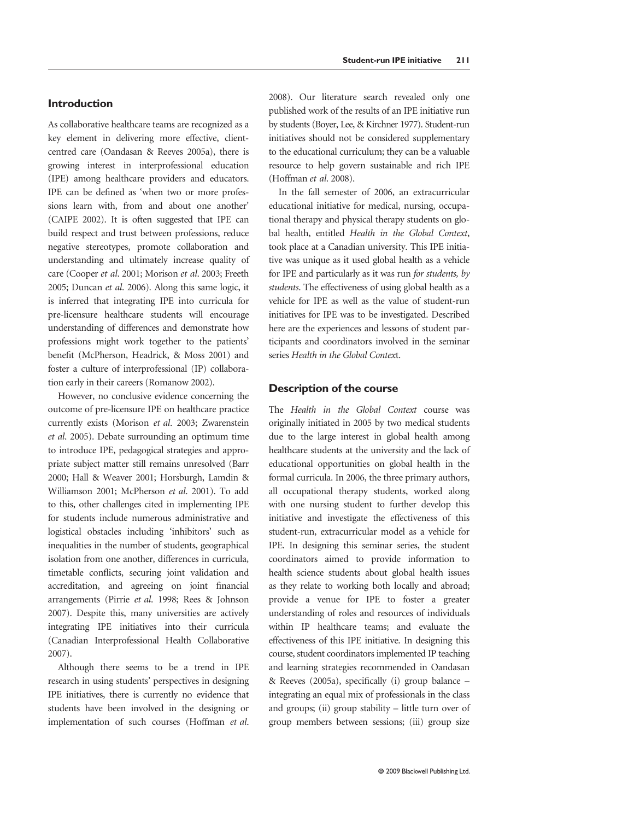## Introduction

As collaborative healthcare teams are recognized as a key element in delivering more effective, clientcentred care (Oandasan & Reeves 2005a), there is growing interest in interprofessional education (IPE) among healthcare providers and educators. IPE can be defined as 'when two or more professions learn with, from and about one another' (CAIPE 2002). It is often suggested that IPE can build respect and trust between professions, reduce negative stereotypes, promote collaboration and understanding and ultimately increase quality of care (Cooper et al. 2001; Morison et al. 2003; Freeth 2005; Duncan et al. 2006). Along this same logic, it is inferred that integrating IPE into curricula for pre-licensure healthcare students will encourage understanding of differences and demonstrate how professions might work together to the patients' benefit (McPherson, Headrick, & Moss 2001) and foster a culture of interprofessional (IP) collaboration early in their careers (Romanow 2002).

However, no conclusive evidence concerning the outcome of pre-licensure IPE on healthcare practice currently exists (Morison et al. 2003; Zwarenstein et al. 2005). Debate surrounding an optimum time to introduce IPE, pedagogical strategies and appropriate subject matter still remains unresolved (Barr 2000; Hall & Weaver 2001; Horsburgh, Lamdin & Williamson 2001; McPherson et al. 2001). To add to this, other challenges cited in implementing IPE for students include numerous administrative and logistical obstacles including 'inhibitors' such as inequalities in the number of students, geographical isolation from one another, differences in curricula, timetable conflicts, securing joint validation and accreditation, and agreeing on joint financial arrangements (Pirrie et al. 1998; Rees & Johnson 2007). Despite this, many universities are actively integrating IPE initiatives into their curricula (Canadian Interprofessional Health Collaborative 2007).

Although there seems to be a trend in IPE research in using students' perspectives in designing IPE initiatives, there is currently no evidence that students have been involved in the designing or implementation of such courses (Hoffman et al. 2008). Our literature search revealed only one published work of the results of an IPE initiative run by students (Boyer, Lee, & Kirchner 1977). Student-run initiatives should not be considered supplementary to the educational curriculum; they can be a valuable resource to help govern sustainable and rich IPE (Hoffman et al. 2008).

In the fall semester of 2006, an extracurricular educational initiative for medical, nursing, occupational therapy and physical therapy students on global health, entitled Health in the Global Context, took place at a Canadian university. This IPE initiative was unique as it used global health as a vehicle for IPE and particularly as it was run for students, by students. The effectiveness of using global health as a vehicle for IPE as well as the value of student-run initiatives for IPE was to be investigated. Described here are the experiences and lessons of student participants and coordinators involved in the seminar series Health in the Global Context.

#### Description of the course

The Health in the Global Context course was originally initiated in 2005 by two medical students due to the large interest in global health among healthcare students at the university and the lack of educational opportunities on global health in the formal curricula. In 2006, the three primary authors, all occupational therapy students, worked along with one nursing student to further develop this initiative and investigate the effectiveness of this student-run, extracurricular model as a vehicle for IPE. In designing this seminar series, the student coordinators aimed to provide information to health science students about global health issues as they relate to working both locally and abroad; provide a venue for IPE to foster a greater understanding of roles and resources of individuals within IP healthcare teams; and evaluate the effectiveness of this IPE initiative. In designing this course, student coordinators implemented IP teaching and learning strategies recommended in Oandasan & Reeves (2005a), specifically (i) group balance – integrating an equal mix of professionals in the class and groups; (ii) group stability – little turn over of group members between sessions; (iii) group size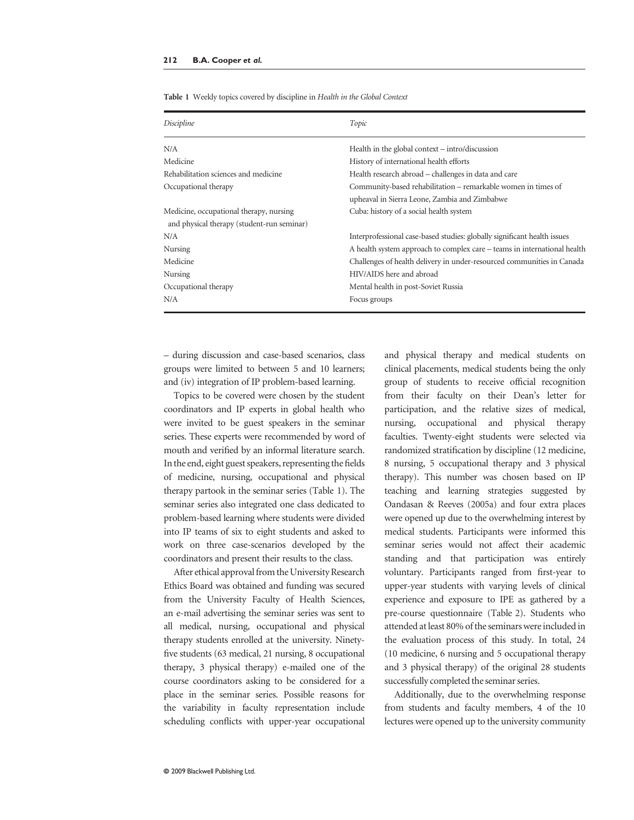| N/A                                        | Health in the global context $-$ intro/discussion                        |
|--------------------------------------------|--------------------------------------------------------------------------|
|                                            |                                                                          |
| Medicine                                   | History of international health efforts                                  |
| Rehabilitation sciences and medicine       | Health research abroad – challenges in data and care                     |
| Occupational therapy                       | Community-based rehabilitation – remarkable women in times of            |
|                                            | upheaval in Sierra Leone, Zambia and Zimbabwe                            |
| Medicine, occupational therapy, nursing    | Cuba: history of a social health system                                  |
| and physical therapy (student-run seminar) |                                                                          |
| N/A                                        | Interprofessional case-based studies: globally significant health issues |
| Nursing                                    | A health system approach to complex care – teams in international health |
| Medicine                                   | Challenges of health delivery in under-resourced communities in Canada   |
| Nursing                                    | HIV/AIDS here and abroad                                                 |
| Occupational therapy                       | Mental health in post-Soviet Russia                                      |
| N/A                                        | Focus groups                                                             |

Table 1 Weekly topics covered by discipline in Health in the Global Context

– during discussion and case-based scenarios, class groups were limited to between 5 and 10 learners; and (iv) integration of IP problem-based learning.

Topics to be covered were chosen by the student coordinators and IP experts in global health who were invited to be guest speakers in the seminar series. These experts were recommended by word of mouth and verified by an informal literature search. In the end, eight guest speakers, representing the fields of medicine, nursing, occupational and physical therapy partook in the seminar series (Table 1). The seminar series also integrated one class dedicated to problem-based learning where students were divided into IP teams of six to eight students and asked to work on three case-scenarios developed by the coordinators and present their results to the class.

After ethical approval from the University Research Ethics Board was obtained and funding was secured from the University Faculty of Health Sciences, an e-mail advertising the seminar series was sent to all medical, nursing, occupational and physical therapy students enrolled at the university. Ninetyfive students (63 medical, 21 nursing, 8 occupational therapy, 3 physical therapy) e-mailed one of the course coordinators asking to be considered for a place in the seminar series. Possible reasons for the variability in faculty representation include scheduling conflicts with upper-year occupational and physical therapy and medical students on clinical placements, medical students being the only group of students to receive official recognition from their faculty on their Dean's letter for participation, and the relative sizes of medical, nursing, occupational and physical therapy faculties. Twenty-eight students were selected via randomized stratification by discipline (12 medicine, 8 nursing, 5 occupational therapy and 3 physical therapy). This number was chosen based on IP teaching and learning strategies suggested by Oandasan & Reeves (2005a) and four extra places were opened up due to the overwhelming interest by medical students. Participants were informed this seminar series would not affect their academic standing and that participation was entirely voluntary. Participants ranged from first-year to upper-year students with varying levels of clinical experience and exposure to IPE as gathered by a pre-course questionnaire (Table 2). Students who attended at least 80% of the seminars were included in the evaluation process of this study. In total, 24 (10 medicine, 6 nursing and 5 occupational therapy and 3 physical therapy) of the original 28 students successfully completed the seminar series.

Additionally, due to the overwhelming response from students and faculty members, 4 of the 10 lectures were opened up to the university community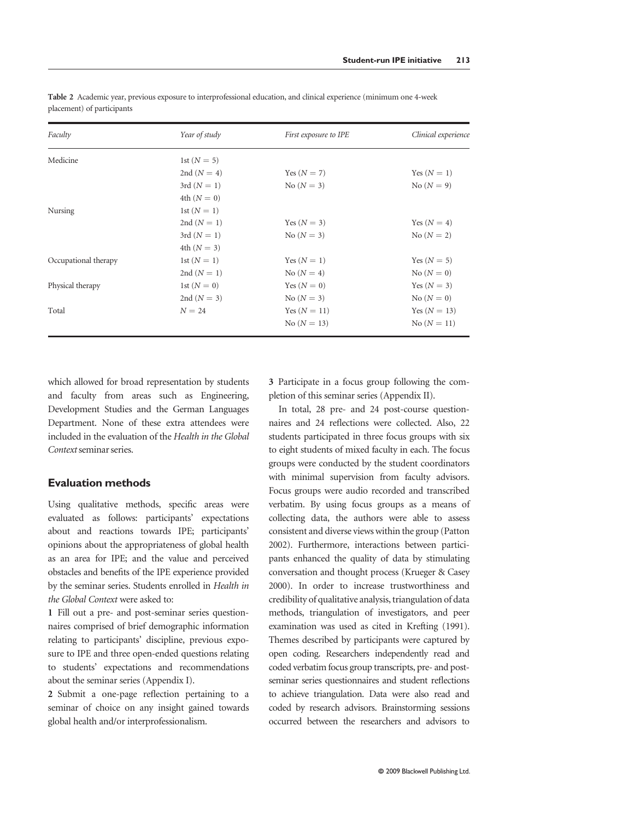| Faculty              | Year of study | First exposure to IPE | Clinical experience |
|----------------------|---------------|-----------------------|---------------------|
| Medicine             | 1st $(N = 5)$ |                       |                     |
|                      | 2nd $(N = 4)$ | Yes $(N = 7)$         | Yes $(N = 1)$       |
|                      | 3rd $(N = 1)$ | No $(N = 3)$          | $No (N = 9)$        |
|                      | $4th (N = 0)$ |                       |                     |
| Nursing              | 1st $(N = 1)$ |                       |                     |
|                      | 2nd $(N = 1)$ | Yes $(N = 3)$         | Yes $(N = 4)$       |
|                      | $3rd (N = 1)$ | No $(N = 3)$          | $No (N = 2)$        |
|                      | 4th $(N = 3)$ |                       |                     |
| Occupational therapy | 1st $(N = 1)$ | Yes $(N = 1)$         | Yes $(N = 5)$       |
|                      | 2nd $(N = 1)$ | No $(N = 4)$          | No $(N=0)$          |
| Physical therapy     | 1st $(N = 0)$ | Yes $(N = 0)$         | Yes $(N = 3)$       |
|                      | 2nd $(N = 3)$ | No $(N = 3)$          | No $(N=0)$          |
| Total                | $N = 24$      | Yes $(N = 11)$        | Yes $(N = 13)$      |
|                      |               | No $(N = 13)$         | $No (N = 11)$       |
|                      |               |                       |                     |

Table 2 Academic year, previous exposure to interprofessional education, and clinical experience (minimum one 4-week placement) of participants

which allowed for broad representation by students and faculty from areas such as Engineering, Development Studies and the German Languages Department. None of these extra attendees were included in the evaluation of the Health in the Global Context seminar series.

#### Evaluation methods

Using qualitative methods, specific areas were evaluated as follows: participants' expectations about and reactions towards IPE; participants' opinions about the appropriateness of global health as an area for IPE; and the value and perceived obstacles and benefits of the IPE experience provided by the seminar series. Students enrolled in Health in the Global Context were asked to:

1 Fill out a pre- and post-seminar series questionnaires comprised of brief demographic information relating to participants' discipline, previous exposure to IPE and three open-ended questions relating to students' expectations and recommendations about the seminar series (Appendix I).

2 Submit a one-page reflection pertaining to a seminar of choice on any insight gained towards global health and/or interprofessionalism.

3 Participate in a focus group following the completion of this seminar series (Appendix II).

In total, 28 pre- and 24 post-course questionnaires and 24 reflections were collected. Also, 22 students participated in three focus groups with six to eight students of mixed faculty in each. The focus groups were conducted by the student coordinators with minimal supervision from faculty advisors. Focus groups were audio recorded and transcribed verbatim. By using focus groups as a means of collecting data, the authors were able to assess consistent and diverse views within the group (Patton 2002). Furthermore, interactions between participants enhanced the quality of data by stimulating conversation and thought process (Krueger & Casey 2000). In order to increase trustworthiness and credibility of qualitative analysis, triangulation of data methods, triangulation of investigators, and peer examination was used as cited in Krefting (1991). Themes described by participants were captured by open coding. Researchers independently read and coded verbatim focus group transcripts, pre- and postseminar series questionnaires and student reflections to achieve triangulation. Data were also read and coded by research advisors. Brainstorming sessions occurred between the researchers and advisors to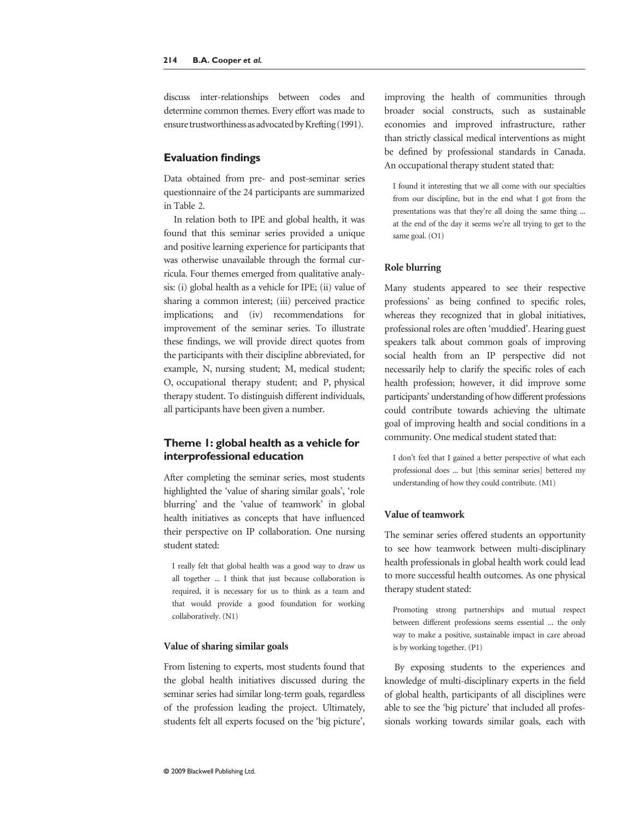discuss inter-relationships between codes and determine common themes. Every effort was made to ensure trustworthiness as advocated by Krefting (1991).

#### Evaluation findings

Data obtained from pre- and post-seminar series questionnaire of the 24 participants are summarized in Table 2.

In relation both to IPE and global health, it was found that this seminar series provided a unique and positive learning experience for participants that was otherwise unavailable through the formal curricula. Four themes emerged from qualitative analysis: (i) global health as a vehicle for IPE; (ii) value of sharing a common interest; (iii) perceived practice implications; and (iv) recommendations for improvement of the seminar series. To illustrate these findings, we will provide direct quotes from the participants with their discipline abbreviated, for example, N, nursing student; M, medical student; O, occupational therapy student; and P, physical therapy student. To distinguish different individuals, all participants have been given a number.

## Theme 1: global health as a vehicle for interprofessional education

After completing the seminar series, most students highlighted the 'value of sharing similar goals', 'role blurring' and the 'value of teamwork' in global health initiatives as concepts that have influenced their perspective on IP collaboration. One nursing student stated:

I really felt that global health was a good way to draw us all together ... I think that just because collaboration is required, it is necessary for us to think as a team and that would provide a good foundation for working collaboratively. (N1)

#### Value of sharing similar goals

From listening to experts, most students found that the global health initiatives discussed during the seminar series had similar long-term goals, regardless of the profession leading the project. Ultimately, students felt all experts focused on the 'big picture', improving the health of communities through broader social constructs, such as sustainable economies and improved infrastructure, rather than strictly classical medical interventions as might be defined by professional standards in Canada. An occupational therapy student stated that:

I found it interesting that we all come with our specialties from our discipline, but in the end what I got from the presentations was that they're all doing the same thing ... at the end of the day it seems we're all trying to get to the same goal. (O1)

#### Role blurring

Many students appeared to see their respective professions' as being confined to specific roles, whereas they recognized that in global initiatives, professional roles are often 'muddied'. Hearing guest speakers talk about common goals of improving social health from an IP perspective did not necessarily help to clarify the specific roles of each health profession; however, it did improve some participants' understanding of how different professions could contribute towards achieving the ultimate goal of improving health and social conditions in a community. One medical student stated that:

I don't feel that I gained a better perspective of what each professional does ... but [this seminar series] bettered my understanding of how they could contribute. (M1)

#### Value of teamwork

The seminar series offered students an opportunity to see how teamwork between multi-disciplinary health professionals in global health work could lead to more successful health outcomes. As one physical therapy student stated:

Promoting strong partnerships and mutual respect between different professions seems essential ... the only way to make a positive, sustainable impact in care abroad is by working together. (P1)

By exposing students to the experiences and knowledge of multi-disciplinary experts in the field of global health, participants of all disciplines were able to see the 'big picture' that included all professionals working towards similar goals, each with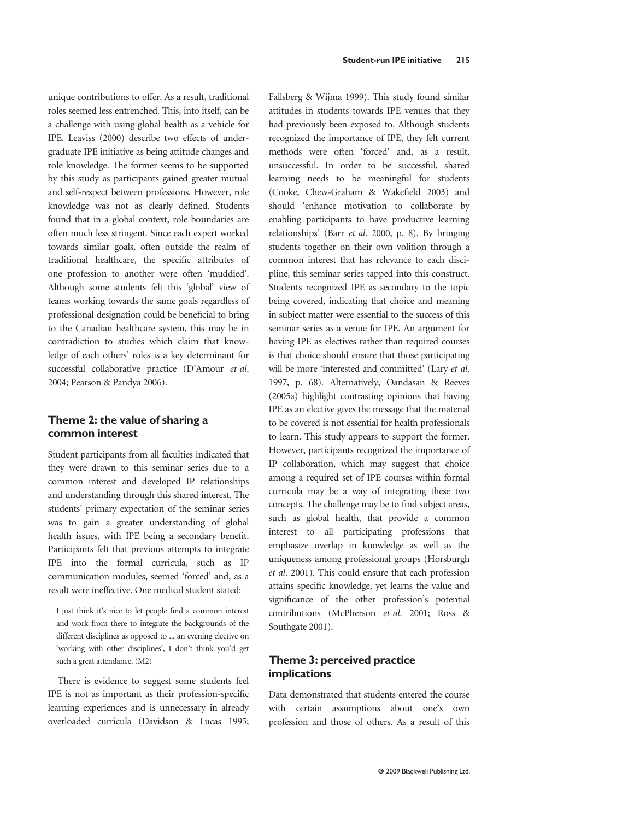unique contributions to offer. As a result, traditional roles seemed less entrenched. This, into itself, can be a challenge with using global health as a vehicle for IPE. Leaviss (2000) describe two effects of undergraduate IPE initiative as being attitude changes and role knowledge. The former seems to be supported by this study as participants gained greater mutual and self-respect between professions. However, role knowledge was not as clearly defined. Students found that in a global context, role boundaries are often much less stringent. Since each expert worked towards similar goals, often outside the realm of traditional healthcare, the specific attributes of one profession to another were often 'muddied'. Although some students felt this 'global' view of teams working towards the same goals regardless of professional designation could be beneficial to bring to the Canadian healthcare system, this may be in contradiction to studies which claim that knowledge of each others' roles is a key determinant for successful collaborative practice (D'Amour et al. 2004; Pearson & Pandya 2006).

## Theme 2: the value of sharing a common interest

Student participants from all faculties indicated that they were drawn to this seminar series due to a common interest and developed IP relationships and understanding through this shared interest. The students' primary expectation of the seminar series was to gain a greater understanding of global health issues, with IPE being a secondary benefit. Participants felt that previous attempts to integrate IPE into the formal curricula, such as IP communication modules, seemed 'forced' and, as a result were ineffective. One medical student stated:

I just think it's nice to let people find a common interest and work from there to integrate the backgrounds of the different disciplines as opposed to ... an evening elective on 'working with other disciplines', I don't think you'd get such a great attendance. (M2)

There is evidence to suggest some students feel IPE is not as important as their profession-specific learning experiences and is unnecessary in already overloaded curricula (Davidson & Lucas 1995; Fallsberg & Wijma 1999). This study found similar attitudes in students towards IPE venues that they had previously been exposed to. Although students recognized the importance of IPE, they felt current methods were often 'forced' and, as a result, unsuccessful. In order to be successful, shared learning needs to be meaningful for students (Cooke, Chew-Graham & Wakefield 2003) and should 'enhance motivation to collaborate by enabling participants to have productive learning relationships' (Barr et al. 2000, p. 8). By bringing students together on their own volition through a common interest that has relevance to each discipline, this seminar series tapped into this construct. Students recognized IPE as secondary to the topic being covered, indicating that choice and meaning in subject matter were essential to the success of this seminar series as a venue for IPE. An argument for having IPE as electives rather than required courses is that choice should ensure that those participating will be more 'interested and committed' (Lary et al. 1997, p. 68). Alternatively, Oandasan & Reeves (2005a) highlight contrasting opinions that having IPE as an elective gives the message that the material to be covered is not essential for health professionals to learn. This study appears to support the former. However, participants recognized the importance of IP collaboration, which may suggest that choice among a required set of IPE courses within formal curricula may be a way of integrating these two concepts. The challenge may be to find subject areas, such as global health, that provide a common interest to all participating professions that emphasize overlap in knowledge as well as the uniqueness among professional groups (Horsburgh et al. 2001). This could ensure that each profession attains specific knowledge, yet learns the value and significance of the other profession's potential contributions (McPherson et al. 2001; Ross & Southgate 2001).

## Theme 3: perceived practice implications

Data demonstrated that students entered the course with certain assumptions about one's own profession and those of others. As a result of this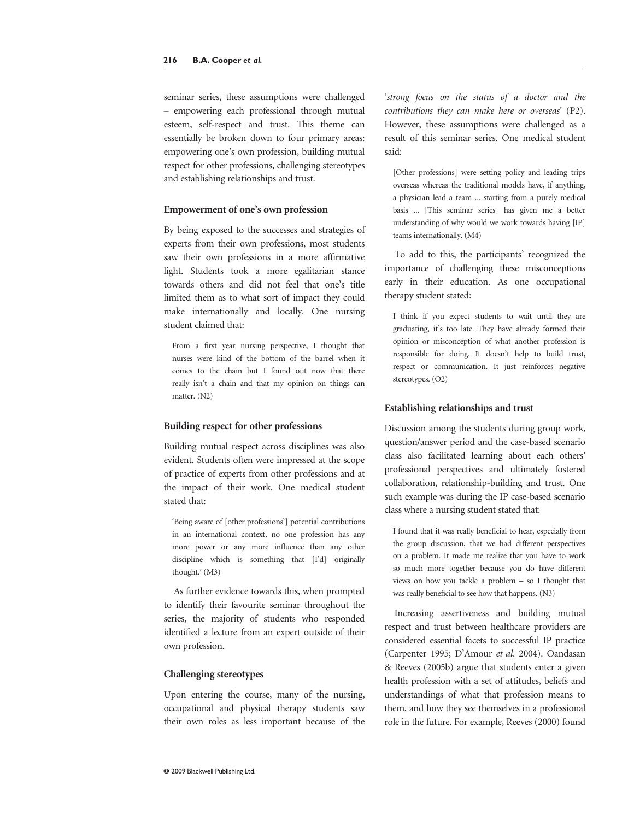seminar series, these assumptions were challenged – empowering each professional through mutual esteem, self-respect and trust. This theme can essentially be broken down to four primary areas: empowering one's own profession, building mutual respect for other professions, challenging stereotypes and establishing relationships and trust.

#### Empowerment of one's own profession

By being exposed to the successes and strategies of experts from their own professions, most students saw their own professions in a more affirmative light. Students took a more egalitarian stance towards others and did not feel that one's title limited them as to what sort of impact they could make internationally and locally. One nursing student claimed that:

From a first year nursing perspective, I thought that nurses were kind of the bottom of the barrel when it comes to the chain but I found out now that there really isn't a chain and that my opinion on things can matter. (N2)

#### Building respect for other professions

Building mutual respect across disciplines was also evident. Students often were impressed at the scope of practice of experts from other professions and at the impact of their work. One medical student stated that:

'Being aware of [other professions'] potential contributions in an international context, no one profession has any more power or any more influence than any other discipline which is something that [I'd] originally thought.' (M3)

As further evidence towards this, when prompted to identify their favourite seminar throughout the series, the majority of students who responded identified a lecture from an expert outside of their own profession.

#### Challenging stereotypes

Upon entering the course, many of the nursing, occupational and physical therapy students saw their own roles as less important because of the 'strong focus on the status of a doctor and the contributions they can make here or overseas' (P2). However, these assumptions were challenged as a result of this seminar series. One medical student said:

[Other professions] were setting policy and leading trips overseas whereas the traditional models have, if anything, a physician lead a team ... starting from a purely medical basis ... [This seminar series] has given me a better understanding of why would we work towards having [IP] teams internationally. (M4)

To add to this, the participants' recognized the importance of challenging these misconceptions early in their education. As one occupational therapy student stated:

I think if you expect students to wait until they are graduating, it's too late. They have already formed their opinion or misconception of what another profession is responsible for doing. It doesn't help to build trust, respect or communication. It just reinforces negative stereotypes. (O2)

#### Establishing relationships and trust

Discussion among the students during group work, question/answer period and the case-based scenario class also facilitated learning about each others' professional perspectives and ultimately fostered collaboration, relationship-building and trust. One such example was during the IP case-based scenario class where a nursing student stated that:

I found that it was really beneficial to hear, especially from the group discussion, that we had different perspectives on a problem. It made me realize that you have to work so much more together because you do have different views on how you tackle a problem – so I thought that was really beneficial to see how that happens. (N3)

Increasing assertiveness and building mutual respect and trust between healthcare providers are considered essential facets to successful IP practice (Carpenter 1995; D'Amour et al. 2004). Oandasan & Reeves (2005b) argue that students enter a given health profession with a set of attitudes, beliefs and understandings of what that profession means to them, and how they see themselves in a professional role in the future. For example, Reeves (2000) found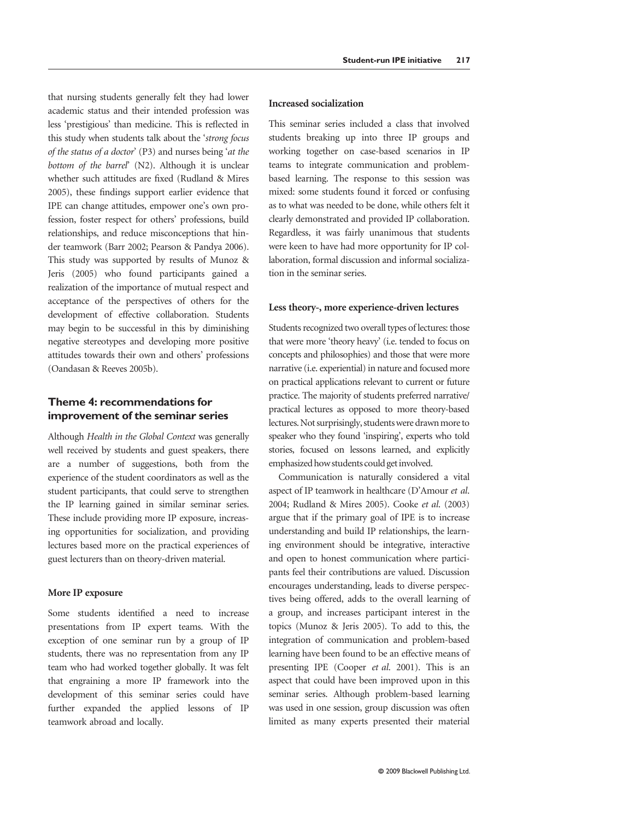that nursing students generally felt they had lower academic status and their intended profession was less 'prestigious' than medicine. This is reflected in this study when students talk about the 'strong focus of the status of a doctor' (P3) and nurses being 'at the bottom of the barrel' (N2). Although it is unclear whether such attitudes are fixed (Rudland & Mires 2005), these findings support earlier evidence that IPE can change attitudes, empower one's own profession, foster respect for others' professions, build relationships, and reduce misconceptions that hinder teamwork (Barr 2002; Pearson & Pandya 2006). This study was supported by results of Munoz & Jeris (2005) who found participants gained a realization of the importance of mutual respect and acceptance of the perspectives of others for the development of effective collaboration. Students may begin to be successful in this by diminishing negative stereotypes and developing more positive attitudes towards their own and others' professions (Oandasan & Reeves 2005b).

## Theme 4: recommendations for improvement of the seminar series

Although Health in the Global Context was generally well received by students and guest speakers, there are a number of suggestions, both from the experience of the student coordinators as well as the student participants, that could serve to strengthen the IP learning gained in similar seminar series. These include providing more IP exposure, increasing opportunities for socialization, and providing lectures based more on the practical experiences of guest lecturers than on theory-driven material.

#### More IP exposure

Some students identified a need to increase presentations from IP expert teams. With the exception of one seminar run by a group of IP students, there was no representation from any IP team who had worked together globally. It was felt that engraining a more IP framework into the development of this seminar series could have further expanded the applied lessons of IP teamwork abroad and locally.

#### Increased socialization

This seminar series included a class that involved students breaking up into three IP groups and working together on case-based scenarios in IP teams to integrate communication and problembased learning. The response to this session was mixed: some students found it forced or confusing as to what was needed to be done, while others felt it clearly demonstrated and provided IP collaboration. Regardless, it was fairly unanimous that students were keen to have had more opportunity for IP collaboration, formal discussion and informal socialization in the seminar series.

#### Less theory-, more experience-driven lectures

Students recognized two overall types of lectures: those that were more 'theory heavy' (i.e. tended to focus on concepts and philosophies) and those that were more narrative (i.e. experiential) in nature and focused more on practical applications relevant to current or future practice. The majority of students preferred narrative/ practical lectures as opposed to more theory-based lectures. Not surprisingly, students were drawn more to speaker who they found 'inspiring', experts who told stories, focused on lessons learned, and explicitly emphasized how students could getinvolved.

Communication is naturally considered a vital aspect of IP teamwork in healthcare (D'Amour et al. 2004; Rudland & Mires 2005). Cooke et al. (2003) argue that if the primary goal of IPE is to increase understanding and build IP relationships, the learning environment should be integrative, interactive and open to honest communication where participants feel their contributions are valued. Discussion encourages understanding, leads to diverse perspectives being offered, adds to the overall learning of a group, and increases participant interest in the topics (Munoz & Jeris 2005). To add to this, the integration of communication and problem-based learning have been found to be an effective means of presenting IPE (Cooper et al. 2001). This is an aspect that could have been improved upon in this seminar series. Although problem-based learning was used in one session, group discussion was often limited as many experts presented their material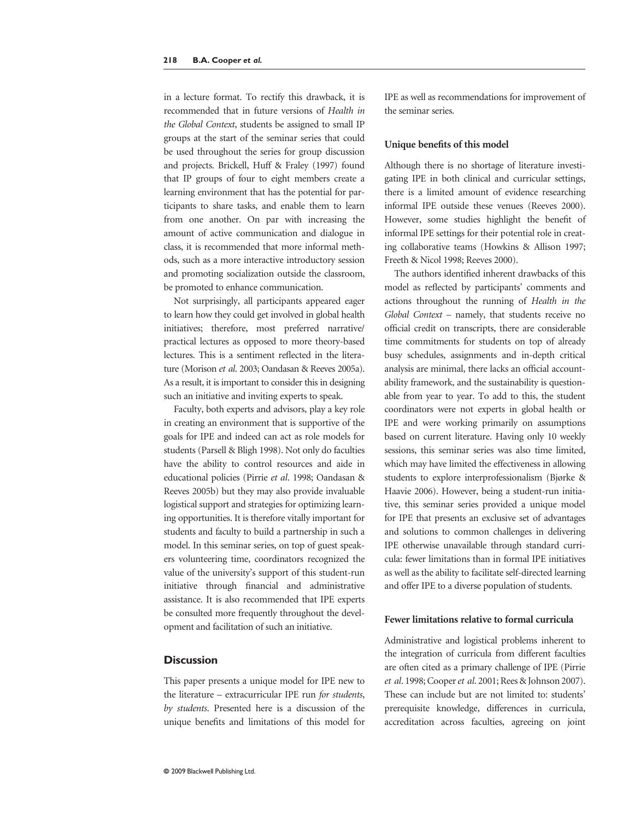in a lecture format. To rectify this drawback, it is recommended that in future versions of Health in the Global Context, students be assigned to small IP groups at the start of the seminar series that could be used throughout the series for group discussion and projects. Brickell, Huff & Fraley (1997) found that IP groups of four to eight members create a learning environment that has the potential for participants to share tasks, and enable them to learn from one another. On par with increasing the amount of active communication and dialogue in class, it is recommended that more informal methods, such as a more interactive introductory session and promoting socialization outside the classroom, be promoted to enhance communication.

Not surprisingly, all participants appeared eager to learn how they could get involved in global health initiatives; therefore, most preferred narrative/ practical lectures as opposed to more theory-based lectures. This is a sentiment reflected in the literature (Morison et al. 2003; Oandasan & Reeves 2005a). As a result, it is important to consider this in designing such an initiative and inviting experts to speak.

Faculty, both experts and advisors, play a key role in creating an environment that is supportive of the goals for IPE and indeed can act as role models for students (Parsell & Bligh 1998). Not only do faculties have the ability to control resources and aide in educational policies (Pirrie et al. 1998; Oandasan & Reeves 2005b) but they may also provide invaluable logistical support and strategies for optimizing learning opportunities. It is therefore vitally important for students and faculty to build a partnership in such a model. In this seminar series, on top of guest speakers volunteering time, coordinators recognized the value of the university's support of this student-run initiative through financial and administrative assistance. It is also recommended that IPE experts be consulted more frequently throughout the development and facilitation of such an initiative.

## **Discussion**

This paper presents a unique model for IPE new to the literature – extracurricular IPE run for students, by students. Presented here is a discussion of the unique benefits and limitations of this model for IPE as well as recommendations for improvement of the seminar series.

#### Unique benefits of this model

Although there is no shortage of literature investigating IPE in both clinical and curricular settings, there is a limited amount of evidence researching informal IPE outside these venues (Reeves 2000). However, some studies highlight the benefit of informal IPE settings for their potential role in creating collaborative teams (Howkins & Allison 1997; Freeth & Nicol 1998; Reeves 2000).

The authors identified inherent drawbacks of this model as reflected by participants' comments and actions throughout the running of Health in the Global Context – namely, that students receive no official credit on transcripts, there are considerable time commitments for students on top of already busy schedules, assignments and in-depth critical analysis are minimal, there lacks an official accountability framework, and the sustainability is questionable from year to year. To add to this, the student coordinators were not experts in global health or IPE and were working primarily on assumptions based on current literature. Having only 10 weekly sessions, this seminar series was also time limited, which may have limited the effectiveness in allowing students to explore interprofessionalism (Bjørke & Haavie 2006). However, being a student-run initiative, this seminar series provided a unique model for IPE that presents an exclusive set of advantages and solutions to common challenges in delivering IPE otherwise unavailable through standard curricula: fewer limitations than in formal IPE initiatives as well as the ability to facilitate self-directed learning and offer IPE to a diverse population of students.

#### Fewer limitations relative to formal curricula

Administrative and logistical problems inherent to the integration of curricula from different faculties are often cited as a primary challenge of IPE (Pirrie et al. 1998; Cooper et al. 2001; Rees & Johnson 2007). These can include but are not limited to: students' prerequisite knowledge, differences in curricula, accreditation across faculties, agreeing on joint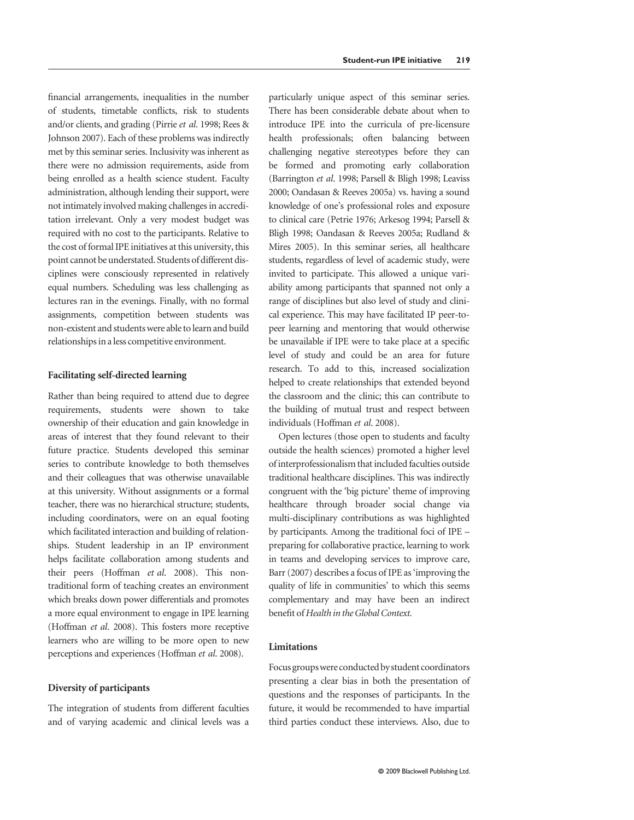financial arrangements, inequalities in the number of students, timetable conflicts, risk to students and/or clients, and grading (Pirrie et al. 1998; Rees & Johnson 2007). Each of these problems was indirectly met by this seminar series. Inclusivity was inherent as there were no admission requirements, aside from being enrolled as a health science student. Faculty administration, although lending their support, were not intimately involved making challenges in accreditation irrelevant. Only a very modest budget was required with no cost to the participants. Relative to the cost of formal IPE initiatives at this university, this point cannot be understated. Students of different disciplines were consciously represented in relatively equal numbers. Scheduling was less challenging as lectures ran in the evenings. Finally, with no formal assignments, competition between students was non-existent and students were able to learn and build relationships in a less competitive environment.

#### Facilitating self-directed learning

Rather than being required to attend due to degree requirements, students were shown to take ownership of their education and gain knowledge in areas of interest that they found relevant to their future practice. Students developed this seminar series to contribute knowledge to both themselves and their colleagues that was otherwise unavailable at this university. Without assignments or a formal teacher, there was no hierarchical structure; students, including coordinators, were on an equal footing which facilitated interaction and building of relationships. Student leadership in an IP environment helps facilitate collaboration among students and their peers (Hoffman et al. 2008). This nontraditional form of teaching creates an environment which breaks down power differentials and promotes a more equal environment to engage in IPE learning (Hoffman et al. 2008). This fosters more receptive learners who are willing to be more open to new perceptions and experiences (Hoffman et al. 2008).

#### Diversity of participants

The integration of students from different faculties and of varying academic and clinical levels was a

particularly unique aspect of this seminar series. There has been considerable debate about when to introduce IPE into the curricula of pre-licensure health professionals; often balancing between challenging negative stereotypes before they can be formed and promoting early collaboration (Barrington et al. 1998; Parsell & Bligh 1998; Leaviss 2000; Oandasan & Reeves 2005a) vs. having a sound knowledge of one's professional roles and exposure to clinical care (Petrie 1976; Arkesog 1994; Parsell & Bligh 1998; Oandasan & Reeves 2005a; Rudland & Mires 2005). In this seminar series, all healthcare students, regardless of level of academic study, were invited to participate. This allowed a unique variability among participants that spanned not only a range of disciplines but also level of study and clinical experience. This may have facilitated IP peer-topeer learning and mentoring that would otherwise be unavailable if IPE were to take place at a specific level of study and could be an area for future research. To add to this, increased socialization helped to create relationships that extended beyond the classroom and the clinic; this can contribute to the building of mutual trust and respect between individuals (Hoffman et al. 2008).

Open lectures (those open to students and faculty outside the health sciences) promoted a higher level of interprofessionalism that included faculties outside traditional healthcare disciplines. This was indirectly congruent with the 'big picture' theme of improving healthcare through broader social change via multi-disciplinary contributions as was highlighted by participants. Among the traditional foci of IPE – preparing for collaborative practice, learning to work in teams and developing services to improve care, Barr (2007) describes a focus of IPE as 'improving the quality of life in communities' to which this seems complementary and may have been an indirect benefit of Health in the Global Context.

#### Limitations

Focusgroupswere conducted by student coordinators presenting a clear bias in both the presentation of questions and the responses of participants. In the future, it would be recommended to have impartial third parties conduct these interviews. Also, due to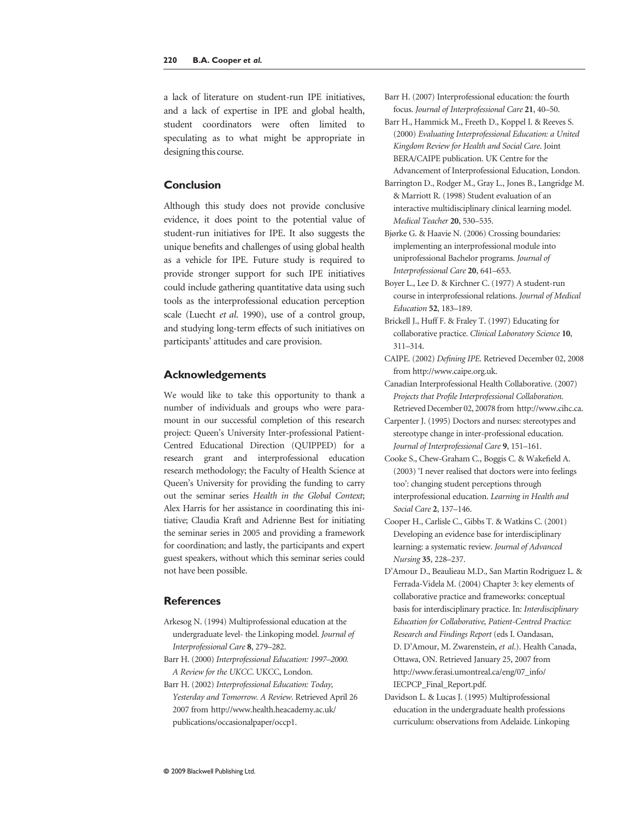a lack of literature on student-run IPE initiatives, and a lack of expertise in IPE and global health, student coordinators were often limited to speculating as to what might be appropriate in designing this course.

## Conclusion

Although this study does not provide conclusive evidence, it does point to the potential value of student-run initiatives for IPE. It also suggests the unique benefits and challenges of using global health as a vehicle for IPE. Future study is required to provide stronger support for such IPE initiatives could include gathering quantitative data using such tools as the interprofessional education perception scale (Luecht et al. 1990), use of a control group, and studying long-term effects of such initiatives on participants' attitudes and care provision.

#### Acknowledgements

We would like to take this opportunity to thank a number of individuals and groups who were paramount in our successful completion of this research project: Queen's University Inter-professional Patient-Centred Educational Direction (QUIPPED) for a research grant and interprofessional education research methodology; the Faculty of Health Science at Queen's University for providing the funding to carry out the seminar series Health in the Global Context; Alex Harris for her assistance in coordinating this initiative; Claudia Kraft and Adrienne Best for initiating the seminar series in 2005 and providing a framework for coordination; and lastly, the participants and expert guest speakers, without which this seminar series could not have been possible.

#### **References**

- Arkesog N. (1994) Multiprofessional education at the undergraduate level- the Linkoping model. Journal of Interprofessional Care 8, 279–282.
- Barr H. (2000) Interprofessional Education: 1997–2000. A Review for the UKCC. UKCC, London.
- Barr H. (2002) Interprofessional Education: Today, Yesterday and Tomorrow. A Review. Retrieved April 26 2007 from http://www.health.heacademy.ac.uk/ publications/occasionalpaper/occp1.
- Barr H. (2007) Interprofessional education: the fourth focus. Journal of Interprofessional Care 21, 40–50.
- Barr H., Hammick M., Freeth D., Koppel I. & Reeves S. (2000) Evaluating Interprofessional Education: a United Kingdom Review for Health and Social Care. Joint BERA/CAIPE publication. UK Centre for the Advancement of Interprofessional Education, London.
- Barrington D., Rodger M., Gray L., Jones B., Langridge M. & Marriott R. (1998) Student evaluation of an interactive multidisciplinary clinical learning model. Medical Teacher 20, 530–535.
- Bjørke G. & Haavie N. (2006) Crossing boundaries: implementing an interprofessional module into uniprofessional Bachelor programs. Journal of Interprofessional Care 20, 641–653.
- Boyer L., Lee D. & Kirchner C. (1977) A student-run course in interprofessional relations. Journal of Medical Education 52, 183–189.
- Brickell J., Huff F. & Fraley T. (1997) Educating for collaborative practice. Clinical Laboratory Science 10, 311–314.
- CAIPE. (2002) Defining IPE. Retrieved December 02, 2008 from http://www.caipe.org.uk.
- Canadian Interprofessional Health Collaborative. (2007) Projects that Profile Interprofessional Collaboration. Retrieved December 02, 20078 from http://www.cihc.ca.
- Carpenter J. (1995) Doctors and nurses: stereotypes and stereotype change in inter-professional education. Journal of Interprofessional Care 9, 151–161.
- Cooke S., Chew-Graham C., Boggis C. & Wakefield A. (2003) 'I never realised that doctors were into feelings too': changing student perceptions through interprofessional education. Learning in Health and Social Care 2, 137–146.
- Cooper H., Carlisle C., Gibbs T. & Watkins C. (2001) Developing an evidence base for interdisciplinary learning: a systematic review. Journal of Advanced Nursing 35, 228–237.
- D'Amour D., Beaulieau M.D., San Martin Rodriguez L. & Ferrada-Videla M. (2004) Chapter 3: key elements of collaborative practice and frameworks: conceptual basis for interdisciplinary practice. In: Interdisciplinary Education for Collaborative, Patient-Centred Practice: Research and Findings Report (eds I. Oandasan, D. D'Amour, M. Zwarenstein, et al.). Health Canada, Ottawa, ON. Retrieved January 25, 2007 from http://www.ferasi.umontreal.ca/eng/07\_info/ IECPCP\_Final\_Report.pdf.
- Davidson L. & Lucas J. (1995) Multiprofessional education in the undergraduate health professions curriculum: observations from Adelaide. Linkoping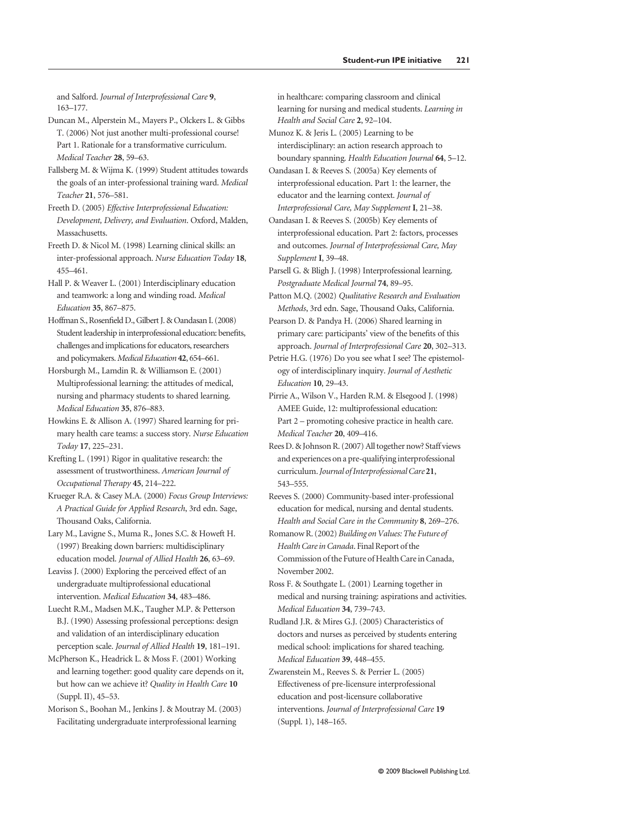and Salford. Journal of Interprofessional Care 9, 163–177.

- Duncan M., Alperstein M., Mayers P., Olckers L. & Gibbs T. (2006) Not just another multi-professional course! Part 1. Rationale for a transformative curriculum. Medical Teacher 28, 59–63.
- Fallsberg M. & Wijma K. (1999) Student attitudes towards the goals of an inter-professional training ward. Medical Teacher 21, 576–581.
- Freeth D. (2005) Effective Interprofessional Education: Development, Delivery, and Evaluation. Oxford, Malden, Massachusetts.
- Freeth D. & Nicol M. (1998) Learning clinical skills: an inter-professional approach. Nurse Education Today 18, 455–461.
- Hall P. & Weaver L. (2001) Interdisciplinary education and teamwork: a long and winding road. Medical Education 35, 867–875.
- Hoffman S., Rosenfield D., Gilbert J. & Oandasan I. (2008) Student leadership in interprofessional education: benefits, challenges and implications for educators, researchers and policymakers. Medical Education 42, 654-661.
- Horsburgh M., Lamdin R. & Williamson E. (2001) Multiprofessional learning: the attitudes of medical, nursing and pharmacy students to shared learning. Medical Education 35, 876–883.
- Howkins E. & Allison A. (1997) Shared learning for primary health care teams: a success story. Nurse Education Today 17, 225–231.
- Krefting L. (1991) Rigor in qualitative research: the assessment of trustworthiness. American Journal of Occupational Therapy 45, 214–222.
- Krueger R.A. & Casey M.A. (2000) Focus Group Interviews: A Practical Guide for Applied Research, 3rd edn. Sage, Thousand Oaks, California.
- Lary M., Lavigne S., Muma R., Jones S.C. & Howeft H. (1997) Breaking down barriers: multidisciplinary education model. Journal of Allied Health 26, 63–69.
- Leaviss J. (2000) Exploring the perceived effect of an undergraduate multiprofessional educational intervention. Medical Education 34, 483–486.
- Luecht R.M., Madsen M.K., Taugher M.P. & Petterson B.J. (1990) Assessing professional perceptions: design and validation of an interdisciplinary education perception scale. Journal of Allied Health 19, 181–191.
- McPherson K., Headrick L. & Moss F. (2001) Working and learning together: good quality care depends on it, but how can we achieve it? Quality in Health Care 10 (Suppl. II), 45–53.
- Morison S., Boohan M., Jenkins J. & Moutray M. (2003) Facilitating undergraduate interprofessional learning

in healthcare: comparing classroom and clinical learning for nursing and medical students. Learning in Health and Social Care 2, 92–104.

- Munoz K. & Jeris L. (2005) Learning to be interdisciplinary: an action research approach to boundary spanning. Health Education Journal 64, 5–12.
- Oandasan I. & Reeves S. (2005a) Key elements of interprofessional education. Part 1: the learner, the educator and the learning context. Journal of Interprofessional Care, May Supplement I, 21–38.
- Oandasan I. & Reeves S. (2005b) Key elements of interprofessional education. Part 2: factors, processes and outcomes. Journal of Interprofessional Care, May Supplement I, 39–48.
- Parsell G. & Bligh J. (1998) Interprofessional learning. Postgraduate Medical Journal 74, 89–95.
- Patton M.Q. (2002) Qualitative Research and Evaluation Methods, 3rd edn. Sage, Thousand Oaks, California.
- Pearson D. & Pandya H. (2006) Shared learning in primary care: participants' view of the benefits of this approach. Journal of Interprofessional Care 20, 302–313.
- Petrie H.G. (1976) Do you see what I see? The epistemology of interdisciplinary inquiry. Journal of Aesthetic Education 10, 29–43.
- Pirrie A., Wilson V., Harden R.M. & Elsegood J. (1998) AMEE Guide, 12: multiprofessional education: Part 2 – promoting cohesive practice in health care. Medical Teacher 20, 409–416.
- Rees D. & Johnson R. (2007) All together now? Staff views and experiences on a pre-qualifying interprofessional curriculum.Journal of Interprofessional Care 21, 543–555.
- Reeves S. (2000) Community-based inter-professional education for medical, nursing and dental students. Health and Social Care in the Community 8, 269–276.
- Romanow R. (2002) Building on Values: The Future of Health Care in Canada. Final Report of the Commission of the Future of Health Care in Canada, November 2002.
- Ross F. & Southgate L. (2001) Learning together in medical and nursing training: aspirations and activities. Medical Education 34, 739–743.
- Rudland J.R. & Mires G.J. (2005) Characteristics of doctors and nurses as perceived by students entering medical school: implications for shared teaching. Medical Education 39, 448–455.
- Zwarenstein M., Reeves S. & Perrier L. (2005) Effectiveness of pre-licensure interprofessional education and post-licensure collaborative interventions. Journal of Interprofessional Care 19 (Suppl. 1), 148–165.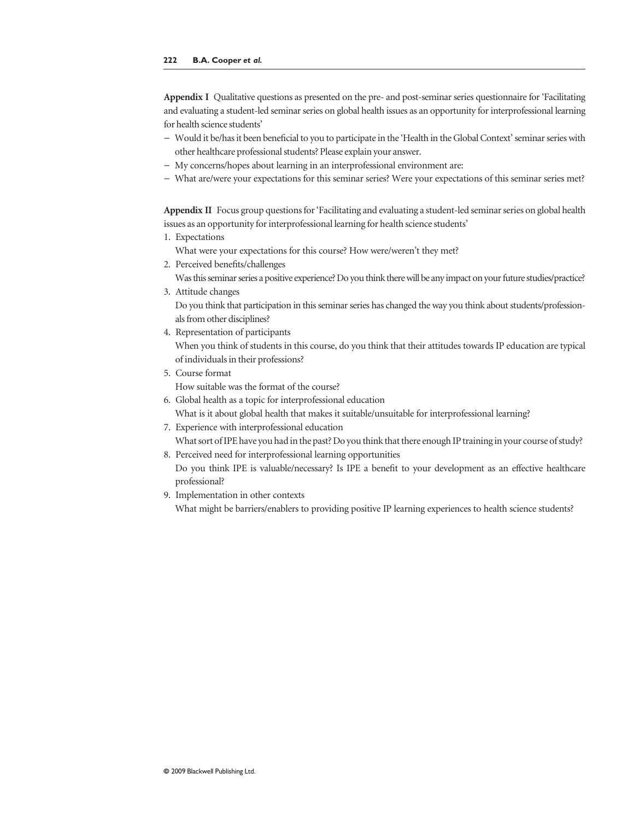Appendix I Qualitative questions as presented on the pre- and post-seminar series questionnaire for 'Facilitating and evaluating a student-led seminar series on global health issues as an opportunity for interprofessional learning for health science students'

- ) Would it be/has it been beneficial to you to participate in the 'Health in the Global Context' seminar series with other healthcare professional students? Please explain your answer.
- My concerns/hopes about learning in an interprofessional environment are:
- ) What are/were your expectations for this seminar series? Were your expectations of this seminar series met?

Appendix II Focus group questions for 'Facilitating and evaluating a student-led seminar series on global health issues as an opportunity for interprofessional learning for health science students'

- 1. Expectations
	- What were your expectations for this course? How were/weren't they met?
- 2. Perceived benefits/challenges

Was this seminar series a positive experience? Do you think there will be any impact on your future studies/practice?

3. Attitude changes

Do you think that participation in this seminar series has changed the way you think about students/professionals from other disciplines?

4. Representation of participants

When you think of students in this course, do you think that their attitudes towards IP education are typical of individuals in their professions?

5. Course format

How suitable was the format of the course?

- 6. Global health as a topic for interprofessional education What is it about global health that makes it suitable/unsuitable for interprofessional learning?
- 7. Experience with interprofessional education What sort of IPE have you had in the past? Do you think that there enough IP training in your course of study?
- 8. Perceived need for interprofessional learning opportunities Do you think IPE is valuable/necessary? Is IPE a benefit to your development as an effective healthcare professional?
- 9. Implementation in other contexts What might be barriers/enablers to providing positive IP learning experiences to health science students?